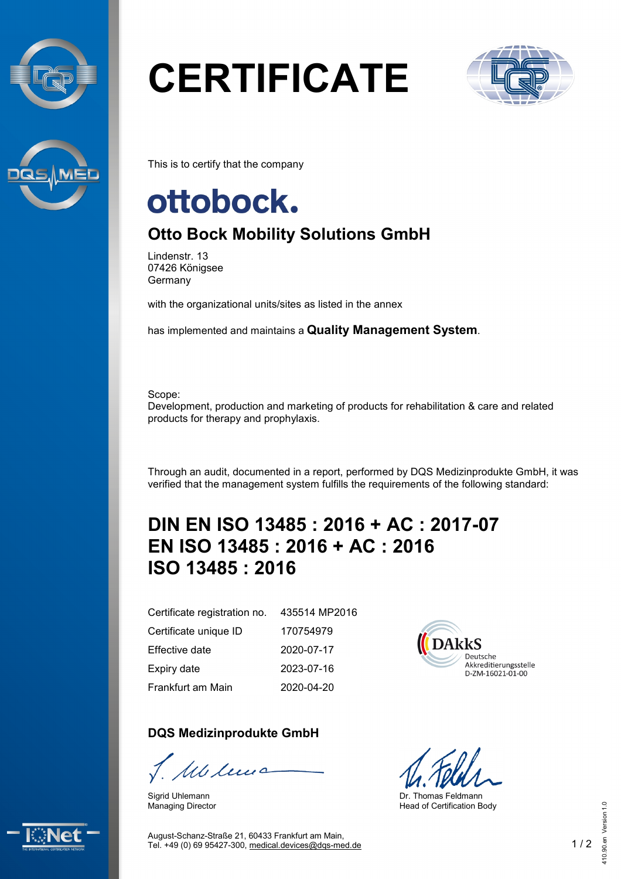



# **CERTIFICATE**



This is to certify that the company

## ottobock.

### **Otto Bock Mobility Solutions GmbH**

Lindenstr. 13 07426 Königsee Germany

with the organizational units/sites as listed in the annex

has implemented and maintains a **Quality Management System**.

Scope:

Development, production and marketing of products for rehabilitation & care and related products for therapy and prophylaxis.

Through an audit, documented in a report, performed by DQS Medizinprodukte GmbH, it was verified that the management system fulfills the requirements of the following standard:

#### **DIN EN ISO 13485 : 2016 + AC : 2017-07 EN ISO 13485 : 2016 + AC : 2016 ISO 13485 : 2016**

Certificate registration no. Certificate unique ID Effective date Expiry date Frankfurt am Main

Sigrid Uhlemann Managing Director

**DQS Medizinprodukte GmbH**

Mcleus

435514 MP2016 170754979 2020-07-17 2023-07-16 2020-04-20



Dr. Thomas Feldmann Head of Certification Body





August-Schanz-Straße 21, 60433 Frankfurt am Main, Tel. +49 (0) 69 95427-300, [medical.devices@dqs-med.de](mailto:medical.devices@dqs-med.de) 1 / 2